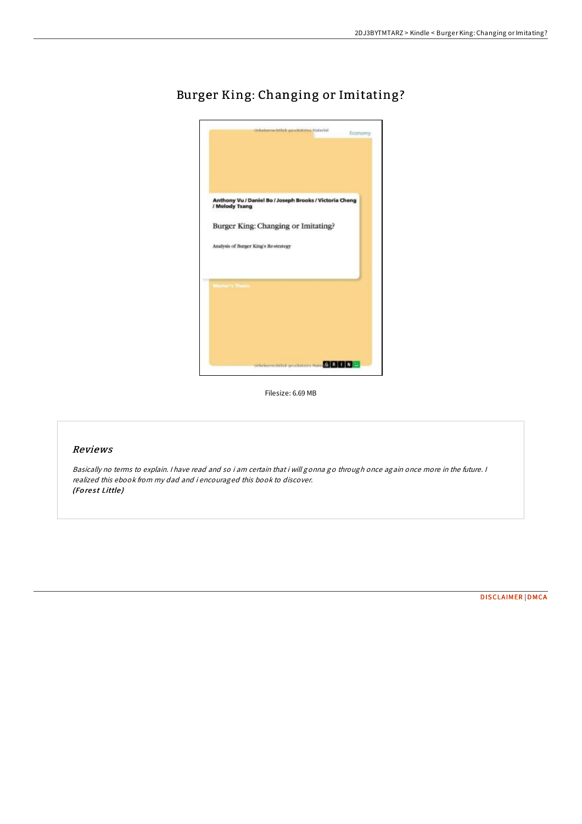

# Burger King: Changing or Imitating?

Filesize: 6.69 MB

# Reviews

Basically no terms to explain. <sup>I</sup> have read and so i am certain that i will gonna go through once again once more in the future. <sup>I</sup> realized this ebook from my dad and i encouraged this book to discover. (Forest Little)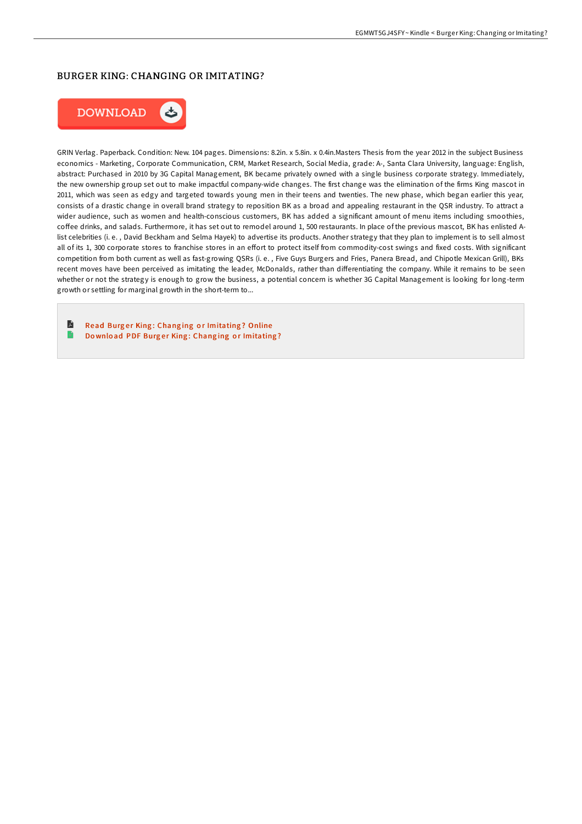# BURGER KING: CHANGING OR IMITATING?



GRIN Verlag. Paperback. Condition: New. 104 pages. Dimensions: 8.2in. x 5.8in. x 0.4in.Masters Thesis from the year 2012 in the subject Business economics - Marketing, Corporate Communication, CRM, Market Research, Social Media, grade: A-, Santa Clara University, language: English, abstract: Purchased in 2010 by 3G Capital Management, BK became privately owned with a single business corporate strategy. Immediately, the new ownership group set out to make impactful company-wide changes. The first change was the elimination of the firms King mascot in 2011, which was seen as edgy and targeted towards young men in their teens and twenties. The new phase, which began earlier this year, consists of a drastic change in overall brand strategy to reposition BK as a broad and appealing restaurant in the QSR industry. To attract a wider audience, such as women and health-conscious customers, BK has added a significant amount of menu items including smoothies, coFee drinks, and salads. Furthermore, it has set out to remodel around 1, 500 restaurants. In place of the previous mascot, BK has enlisted Alist celebrities (i. e. , David Beckham and Selma Hayek) to advertise its products. Another strategy that they plan to implement is to sell almost all of its 1, 300 corporate stores to franchise stores in an effort to protect itself from commodity-cost swings and fixed costs. With significant competition from both current as well as fast-growing QSRs (i. e. , Five Guys Burgers and Fries, Panera Bread, and Chipotle Mexican Grill), BKs recent moves have been perceived as imitating the leader, McDonalds, rather than diFerentiating the company. While it remains to be seen whether or not the strategy is enough to grow the business, a potential concern is whether 3G Capital Management is looking for long-term growth or settling for marginal growth in the short-term to...

R Read Burger King: Changing or [Imitating](http://almighty24.tech/burger-king-changing-or-imitating.html)? Online e Download PDF Burger King: Changing or [Imitating](http://almighty24.tech/burger-king-changing-or-imitating.html)?